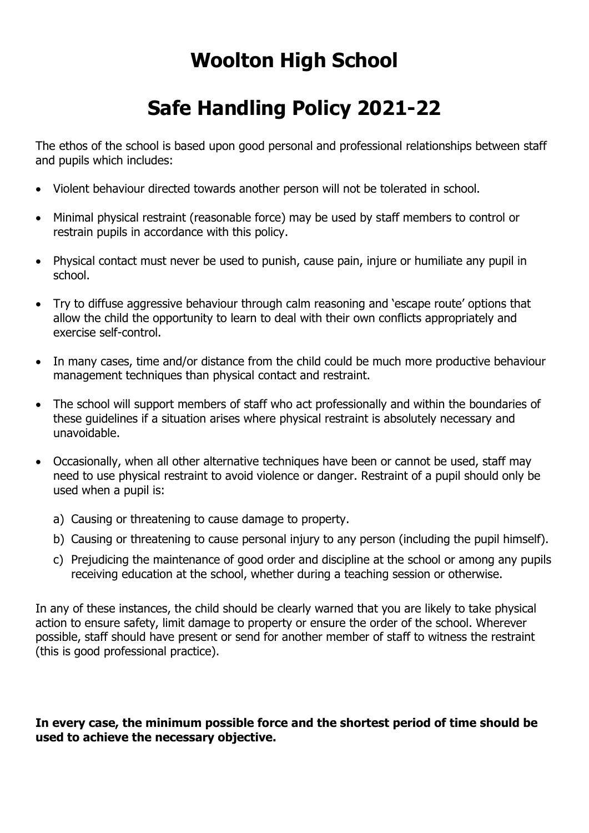## **Woolton High School**

## **Safe Handling Policy 2021-22**

The ethos of the school is based upon good personal and professional relationships between staff and pupils which includes:

- Violent behaviour directed towards another person will not be tolerated in school.
- Minimal physical restraint (reasonable force) may be used by staff members to control or restrain pupils in accordance with this policy.
- Physical contact must never be used to punish, cause pain, injure or humiliate any pupil in school.
- Try to diffuse aggressive behaviour through calm reasoning and 'escape route' options that allow the child the opportunity to learn to deal with their own conflicts appropriately and exercise self-control.
- In many cases, time and/or distance from the child could be much more productive behaviour management techniques than physical contact and restraint.
- The school will support members of staff who act professionally and within the boundaries of these guidelines if a situation arises where physical restraint is absolutely necessary and unavoidable.
- Occasionally, when all other alternative techniques have been or cannot be used, staff may need to use physical restraint to avoid violence or danger. Restraint of a pupil should only be used when a pupil is:
	- a) Causing or threatening to cause damage to property.
	- b) Causing or threatening to cause personal injury to any person (including the pupil himself).
	- c) Prejudicing the maintenance of good order and discipline at the school or among any pupils receiving education at the school, whether during a teaching session or otherwise.

In any of these instances, the child should be clearly warned that you are likely to take physical action to ensure safety, limit damage to property or ensure the order of the school. Wherever possible, staff should have present or send for another member of staff to witness the restraint (this is good professional practice).

## **In every case, the minimum possible force and the shortest period of time should be used to achieve the necessary objective.**